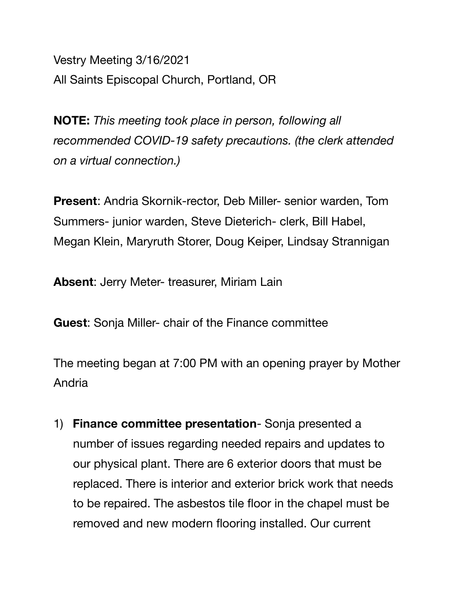Vestry Meeting 3/16/2021 All Saints Episcopal Church, Portland, OR

**NOTE:** *This meeting took place in person, following all recommended COVID-19 safety precautions. (the clerk attended on a virtual connection.)* 

**Present**: Andria Skornik-rector, Deb Miller- senior warden, Tom Summers- junior warden, Steve Dieterich- clerk, Bill Habel, Megan Klein, Maryruth Storer, Doug Keiper, Lindsay Strannigan

**Absent**: Jerry Meter- treasurer, Miriam Lain

**Guest**: Sonja Miller- chair of the Finance committee

The meeting began at 7:00 PM with an opening prayer by Mother Andria

1) **Finance committee presentation**- Sonja presented a number of issues regarding needed repairs and updates to our physical plant. There are 6 exterior doors that must be replaced. There is interior and exterior brick work that needs to be repaired. The asbestos tile floor in the chapel must be removed and new modern flooring installed. Our current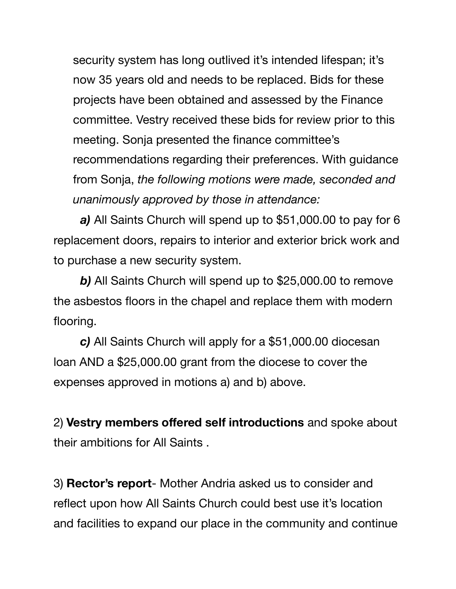security system has long outlived it's intended lifespan; it's now 35 years old and needs to be replaced. Bids for these projects have been obtained and assessed by the Finance committee. Vestry received these bids for review prior to this meeting. Sonja presented the finance committee's recommendations regarding their preferences. With guidance from Sonja, *the following motions were made, seconded and unanimously approved by those in attendance:*

*a)* All Saints Church will spend up to \$51,000.00 to pay for 6 replacement doors, repairs to interior and exterior brick work and to purchase a new security system.

*b)* All Saints Church will spend up to \$25,000.00 to remove the asbestos floors in the chapel and replace them with modern flooring.

*c)* All Saints Church will apply for a \$51,000.00 diocesan loan AND a \$25,000.00 grant from the diocese to cover the expenses approved in motions a) and b) above.

2) **Vestry members offered self introductions** and spoke about their ambitions for All Saints .

3) **Rector's report**- Mother Andria asked us to consider and reflect upon how All Saints Church could best use it's location and facilities to expand our place in the community and continue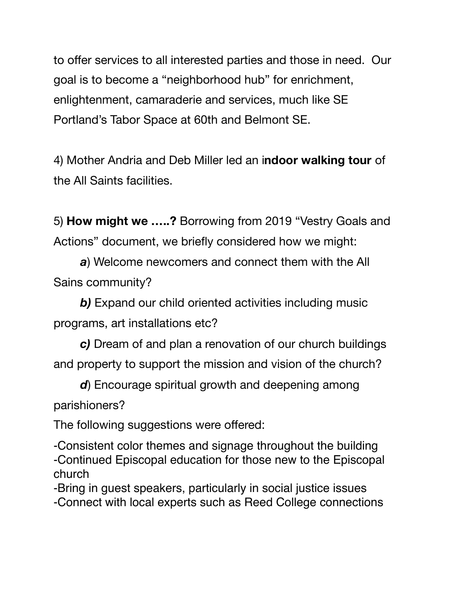to offer services to all interested parties and those in need. Our goal is to become a "neighborhood hub" for enrichment, enlightenment, camaraderie and services, much like SE Portland's Tabor Space at 60th and Belmont SE.

4) Mother Andria and Deb Miller led an i**ndoor walking tour** of the All Saints facilities.

5) **How might we …..?** Borrowing from 2019 "Vestry Goals and Actions" document, we briefly considered how we might:

*a*) Welcome newcomers and connect them with the All Sains community?

**b)** Expand our child oriented activities including music programs, art installations etc?

*c)* Dream of and plan a renovation of our church buildings and property to support the mission and vision of the church?

*d*) Encourage spiritual growth and deepening among

parishioners?

The following suggestions were offered:

-Consistent color themes and signage throughout the building -Continued Episcopal education for those new to the Episcopal church

-Bring in guest speakers, particularly in social justice issues -Connect with local experts such as Reed College connections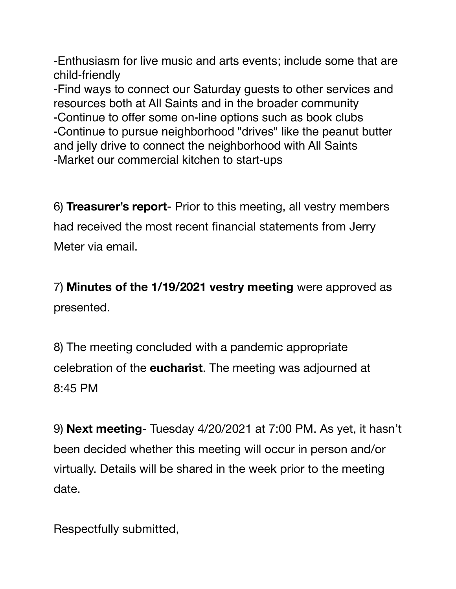-Enthusiasm for live music and arts events; include some that are child-friendly

-Find ways to connect our Saturday guests to other services and resources both at All Saints and in the broader community -Continue to offer some on-line options such as book clubs -Continue to pursue neighborhood "drives" like the peanut butter and jelly drive to connect the neighborhood with All Saints -Market our commercial kitchen to start-ups

6) **Treasurer's report**- Prior to this meeting, all vestry members had received the most recent financial statements from Jerry Meter via email.

7) **Minutes of the 1/19/2021 vestry meeting** were approved as presented.

8) The meeting concluded with a pandemic appropriate celebration of the **eucharist**. The meeting was adjourned at 8:45 PM

9) **Next meeting**- Tuesday 4/20/2021 at 7:00 PM. As yet, it hasn't been decided whether this meeting will occur in person and/or virtually. Details will be shared in the week prior to the meeting date.

Respectfully submitted,